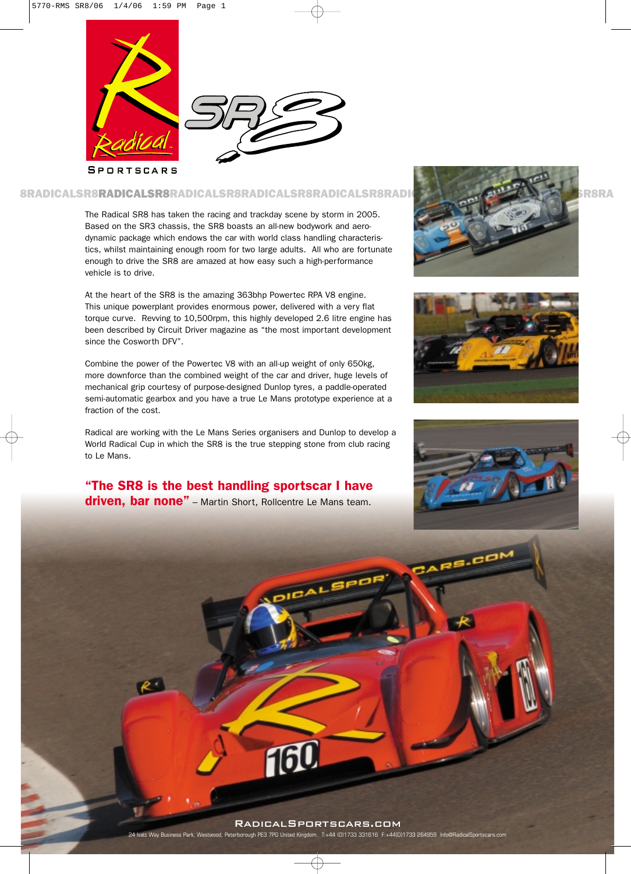



**SPORTSCARS** 

# 8RADICALSR8RADICALSR8RADICALSR8RADICALSR8RADICALSR8RADICALSR8RADICALSR8RADICALSR8RADICALSR8RADICALSR8RADICALSR

The Radical SR8 has taken the racing and trackday scene by storm in 2005. Based on the SR3 chassis, the SR8 boasts an all-new bodywork and aerodynamic package which endows the car with world class handling characteristics, whilst maintaining enough room for two large adults. All who are fortunate enough to drive the SR8 are amazed at how easy such a high-performance vehicle is to drive.

At the heart of the SR8 is the amazing 363bhp Powertec RPA V8 engine. This unique powerplant provides enormous power, delivered with a very flat torque curve. Revving to 10,500rpm, this highly developed 2.6 litre engine has been described by Circuit Driver magazine as "the most important development since the Cosworth DFV".

Combine the power of the Powertec V8 with an all-up weight of only 650kg, more downforce than the combined weight of the car and driver, huge levels of mechanical grip courtesy of purpose-designed Dunlop tyres, a paddle-operated semi-automatic gearbox and you have a true Le Mans prototype experience at a fraction of the cost.

Radical are working with the Le Mans Series organisers and Dunlop to develop a World Radical Cup in which the SR8 is the true stepping stone from club racing to Le Mans.

"The SR8 is the best handling sportscar I have driven, bar none" - Martin Short, Rollcentre Le Mans team.







ARS.CO



 $BAL$ 

ed, Peterborough PE3 7PG United Kingdom. T:+44 (0)1733 331616 F:+44(0)1733 264959 Info@Radic

16U